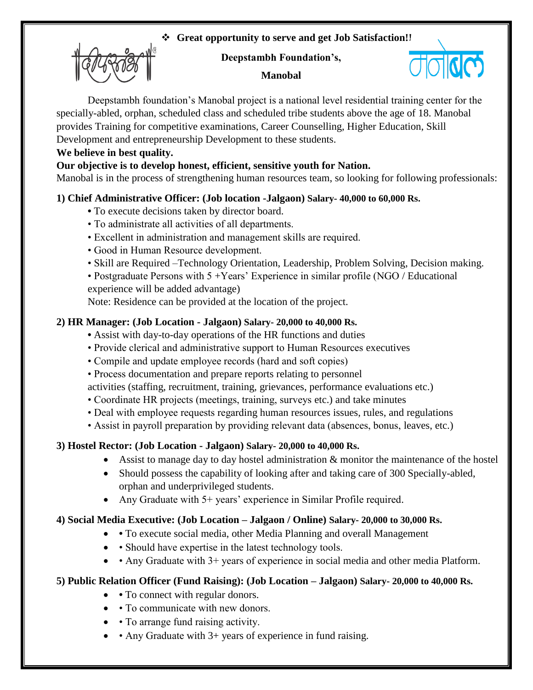## **Great opportunity to serve and get Job Satisfaction!!**



#### **Deepstambh Foundation's,**



#### **Manobal**

Deepstambh foundation's Manobal project is a national level residential training center for the specially-abled, orphan, scheduled class and scheduled tribe students above the age of 18. Manobal provides Training for competitive examinations, Career Counselling, Higher Education, Skill Development and entrepreneurship Development to these students.

### **We believe in best quality.**

### **Our objective is to develop honest, efficient, sensitive youth for Nation.**

Manobal is in the process of strengthening human resources team, so looking for following professionals:

## **1) Chief Administrative Officer: (Job location -Jalgaon) Salary- 40,000 to 60,000 Rs.**

- To execute decisions taken by director board.
- To administrate all activities of all departments.
- Excellent in administration and management skills are required.
- Good in Human Resource development.
- Skill are Required –Technology Orientation, Leadership, Problem Solving, Decision making.
- Postgraduate Persons with 5 + Years' Experience in similar profile (NGO / Educational experience will be added advantage)

Note: Residence can be provided at the location of the project.

### **2) HR Manager: (Job Location - Jalgaon) Salary- 20,000 to 40,000 Rs.**

- Assist with day-to-day operations of the HR functions and duties
- Provide clerical and administrative support to Human Resources executives
- Compile and update employee records (hard and soft copies)
- Process documentation and prepare reports relating to personnel
- activities (staffing, recruitment, training, grievances, performance evaluations etc.)
- Coordinate HR projects (meetings, training, surveys etc.) and take minutes
- Deal with employee requests regarding human resources issues, rules, and regulations
- Assist in payroll preparation by providing relevant data (absences, bonus, leaves, etc.)

## **3) Hostel Rector: (Job Location - Jalgaon) Salary- 20,000 to 40,000 Rs.**

- Assist to manage day to day hostel administration & monitor the maintenance of the hostel
- Should possess the capability of looking after and taking care of 300 Specially-abled, orphan and underprivileged students.
- Any Graduate with 5+ years' experience in Similar Profile required.

#### **4) Social Media Executive: (Job Location – Jalgaon / Online) Salary- 20,000 to 30,000 Rs.**

- To execute social media, other Media Planning and overall Management
- Should have expertise in the latest technology tools.
- Any Graduate with 3+ years of experience in social media and other media Platform.

## **5) Public Relation Officer (Fund Raising): (Job Location – Jalgaon) Salary- 20,000 to 40,000 Rs.**

- To connect with regular donors.
- To communicate with new donors.
- To arrange fund raising activity.
- Any Graduate with 3+ years of experience in fund raising.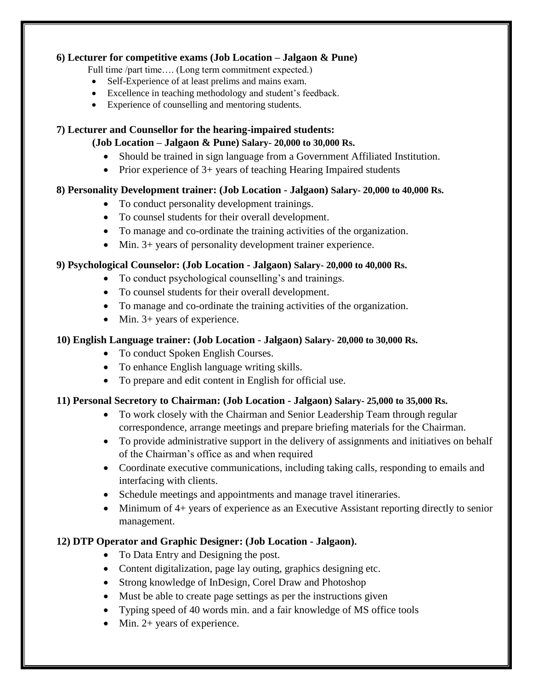### **6) Lecturer for competitive exams (Job Location – Jalgaon & Pune)**

Full time /part time.... (Long term commitment expected.)

- Self-Experience of at least prelims and mains exam.
- Excellence in teaching methodology and student's feedback.
- Experience of counselling and mentoring students.

#### **7) Lecturer and Counsellor for the hearing-impaired students:**

#### **(Job Location – Jalgaon & Pune) Salary- 20,000 to 30,000 Rs.**

- Should be trained in sign language from a Government Affiliated Institution.
- Prior experience of  $3+$  years of teaching Hearing Impaired students

### **8) Personality Development trainer: (Job Location - Jalgaon) Salary- 20,000 to 40,000 Rs.**

- To conduct personality development trainings.
- To counsel students for their overall development.
- To manage and co-ordinate the training activities of the organization.
- Min. 3+ years of personality development trainer experience.

### **9) Psychological Counselor: (Job Location - Jalgaon) Salary- 20,000 to 40,000 Rs.**

- To conduct psychological counselling's and trainings.
- To counsel students for their overall development.
- To manage and co-ordinate the training activities of the organization.
- $\bullet$  Min. 3+ years of experience.

### **10) English Language trainer: (Job Location - Jalgaon) Salary- 20,000 to 30,000 Rs.**

- To conduct Spoken English Courses.
- To enhance English language writing skills.
- To prepare and edit content in English for official use.

#### **11) Personal Secretory to Chairman: (Job Location - Jalgaon) Salary- 25,000 to 35,000 Rs.**

- To work closely with the Chairman and Senior Leadership Team through regular correspondence, arrange meetings and prepare briefing materials for the Chairman.
- To provide administrative support in the delivery of assignments and initiatives on behalf of the Chairman's office as and when required
- Coordinate executive communications, including taking calls, responding to emails and interfacing with clients.
- Schedule meetings and appointments and manage travel itineraries.
- Minimum of 4+ years of experience as an Executive Assistant reporting directly to senior management.

## **12) DTP Operator and Graphic Designer: (Job Location - Jalgaon).**

- To Data Entry and Designing the post.
- Content digitalization, page lay outing, graphics designing etc.
- Strong knowledge of InDesign, Corel Draw and Photoshop
- Must be able to create page settings as per the instructions given
- Typing speed of 40 words min. and a fair knowledge of MS office tools
- Min. 2+ years of experience.